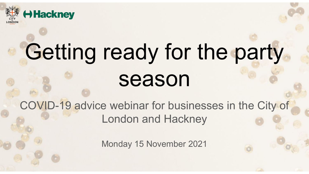

# Getting ready for the party season

COVID-19 advice webinar for businesses in the City of London and Hackney

Monday 15 November 2021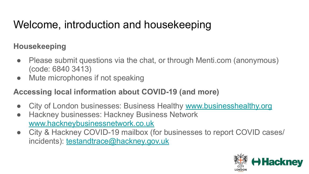# Welcome, introduction and housekeeping

#### **Housekeeping**

- Please submit questions via the chat, or through Menti.com (anonymous) (code: 6840 3413)
- Mute microphones if not speaking

#### **Accessing local information about COVID-19 (and more)**

- City of London businesses: Business Healthy [www.businesshealthy.org](http://www.businesshealthy.org)
- Hackney businesses: Hackney Business Network [www.hackneybusinessnetwork.co.uk](http://www.hackneybusinessnetwork.co.uk)
- City & Hackney COVID-19 mailbox (for businesses to report COVID cases/ incidents): [testandtrace@hackney.gov.uk](mailto:testandtrace@hackney.gov.uk)

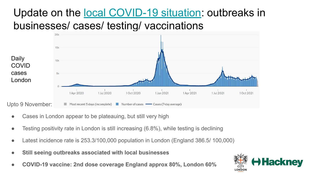# Update on the [local COVID-19 situation:](https://hackney.gov.uk/coronavirus-data) outbreaks in businesses/ cases/ testing/ vaccinations



- Cases in London appear to be plateauing, but still very high
- Testing positivity rate in London is still increasing (6.8%), while testing is declining
- Latest incidence rate is 253.3/100,000 population in London (England 386.5/ 100,000)
- **● Still seeing outbreaks associated with local businesses**
- **● COVID-19 vaccine: 2nd dose coverage England approx 80%, London 60%**

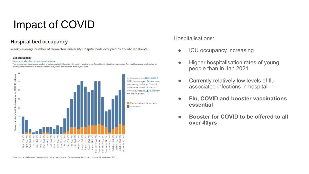### Impact of COVID

#### **Hospital bed occupancy**

Weekly average number of Homerton University Hospital beds occupied by Covid-19 patients.

#### **Bed Occupancy**

#### Hover over the chart to see weekly values





Data source: NHS Covid-19 Hospital Activity. Last updated 08 November 2021. Next update 15 November 2021.

Hospitalisations:

- ICU occupancy increasing
- Higher hospitalisation rates of young people than in Jan 2021
- Currently relatively low levels of flu associated infections in hospital
- **● Flu, COVID and booster vaccinations essential**
- **● Booster for COVID to be offered to all over 40yrs**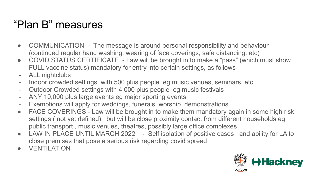# "Plan B" measures

- COMMUNICATION The message is around personal responsibility and behaviour (continued regular hand washing, wearing of face coverings, safe distancing, etc)
- COVID STATUS CERTIFICATE Law will be brought in to make a "pass" (which must show FULL vaccine status) mandatory for entry into certain settings, as follows-
- ALL nightclubs
- Indoor crowded settings with 500 plus people eg music venues, seminars, etc
- Outdoor Crowded settings with 4,000 plus people eg music festivals
- ANY 10,000 plus large events eg major sporting events
- Exemptions will apply for weddings, funerals, worship, demonstrations.
- FACE COVERINGS Law will be brought in to make them mandatory again in some high risk settings (not yet defined) but will be close proximity contact from different households eg public transport , music venues, theatres, possibly large office complexes
- LAW IN PLACE UNTIL MARCH 2022 Self isolation of positive cases and ability for LA to close premises that pose a serious risk regarding covid spread
- **VENTILATION**

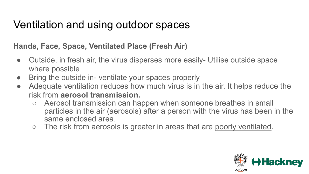### Ventilation and using outdoor spaces

#### **Hands, Face, Space, Ventilated Place (Fresh Air)**

- Outside, in fresh air, the virus disperses more easily- Utilise outside space where possible
- Bring the outside in- ventilate your spaces properly
- Adequate ventilation reduces how much virus is in the air. It helps reduce the risk from **aerosol transmission.**
	- Aerosol transmission can happen when someone breathes in small particles in the air (aerosols) after a person with the virus has been in the same enclosed area.
	- The risk from aerosols is greater in areas that are <u>poorly ventilated</u>.

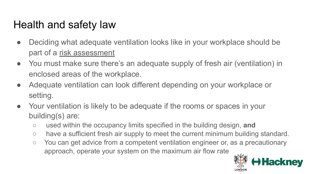# Health and safety law

- Deciding what adequate ventilation looks like in your workplace should be part of a [risk assessment](https://www.hse.gov.uk/coronavirus/equipment-and-machinery/air-conditioning-and-ventilation/assesssment-of-fresh-air.htm)
- You must make sure there's an adequate supply of fresh air (ventilation) in enclosed areas of the workplace.
- Adequate ventilation can look different depending on your workplace or setting.
- Your ventilation is likely to be adequate if the rooms or spaces in your building(s) are:
	- used within the occupancy limits specified in the building design, **and**
	- have a sufficient fresh air supply to meet the current minimum building standard.
	- You can get advice from a competent ventilation engineer or, as a precautionary approach, operate your system on the maximum air flow rate

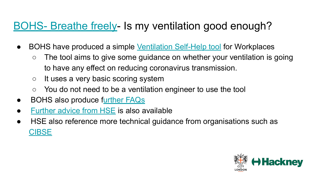### [BOHS- Breathe freely](https://breathefreely.org.uk/ventilation-tool/)- Is my ventilation good enough?

- BOHS have produced a simple [Ventilation Self-Help tool](https://breathefreely.org.uk/ventilation-tool/) for Workplaces
	- The tool aims to give some guidance on whether your ventilation is going to have any effect on reducing coronavirus transmission.
	- It uses a very basic scoring system
	- You do not need to be a ventilation engineer to use the tool
- **BOHS also produce f[urther FAQs](https://www.bohs.org/app/uploads/2021/07/COVID-19-and-Ventilation-FAQs-v2.pdf)**
- [Further advice from HSE](https://www.hse.gov.uk/coronavirus/equipment-and-machinery/air-conditioning-and-ventilation/index.htm#article) is also available
- HSE also reference more technical guidance from organisations such as **[CIBSE](https://www.cibse.org/coronavirus-covid-19/emerging-from-lockdown)**

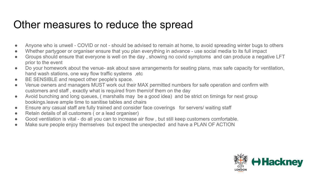#### Other measures to reduce the spread

- Anyone who is unwell COVID or not should be advised to remain at home, to avoid spreading winter bugs to others
- Whether partygoer or organiser ensure that you plan everything in advance use social media to its full impact
- Groups should ensure that everyone is well on the day, showing no covid symptoms and can produce a negative LFT prior to the event
- Do your homework about the venue- ask about save arrangements for seating plans, max safe capacity for ventilation, hand wash stations, one way flow traffic systems ,etc
- BE SENSIBLE and respect other people's space.
- Venue owners and managers MUST work out their MAX permitted numbers for safe operation and confirm with customers and staff , exactly what is required from them/of them on the day
- Avoid bunching and long queues, (marshalls may be a good idea) and be strict on timings for next group bookings.leave ample time to sanitise tables and chairs
- Ensure any casual staff are fully trained and consider face coverings for servers/ waiting staff
- Retain details of all customers ( or a lead organiser)
- Good ventilation is vital do all you can to increase air flow, but still keep customers comfortable.
- Make sure people enjoy themselves but expect the unexpected and have a PLAN OF ACTION

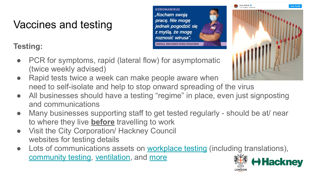# Vaccines and testing

#### **Testing:**



uan delcan

LONDON

- PCR for symptoms, rapid (lateral flow) for asymptomatic (twice weekly advised)
- Rapid tests twice a week can make people aware when need to self-isolate and help to stop onward spreading of the virus
- All businesses should have a testing "regime" in place, even just signposting and communications
- Many businesses supporting staff to get tested regularly should be at near to where they live **before** travelling to work
- Visit the City Corporation/ Hackney Council websites for testing details
- Lots of communications assets on [workplace testing](https://coronavirusresources.phe.gov.uk/Workplace-Testing/resources/) (including translations), [community testing](https://coronavirusresources.phe.gov.uk/Community-Testing/resources/), [ventilation](https://coronavirusresources.phe.gov.uk/covid-19-health-behaviours/resources/), and [more](https://coronavirusresources.phe.gov.uk/)**H** Hackney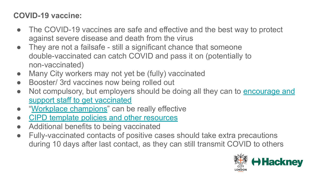#### **COVID-19 vaccine:**

- The COVID-19 vaccines are safe and effective and the best way to protect against severe disease and death from the virus
- They are not a failsafe still a significant chance that someone double-vaccinated can catch COVID and pass it on (potentially to non-vaccinated)
- Many City workers may not yet be (fully) vaccinated
- Booster/ 3rd vaccines now being rolled out
- Not compulsory, but employers should be doing all they can to **[encourage and](https://gbr01.safelinks.protection.outlook.com/?url=https%3A%2F%2Fcoronavirusresources.phe.gov.uk%2Fcovid-19-vaccine%2Fresources%2Femployer-toolkit&data=04%7C01%7C%7C9b7fe14859af4eadd2de08d945fb5c5b%7C9fe658cdb3cd405685193222ffa96be8%7C1%7C0%7C637617768151322999%7CUnknown%7CTWFpbGZsb3d8eyJWIjoiMC4wLjAwMDAiLCJQIjoiV2luMzIiLCJBTiI6Ik1haWwiLCJXVCI6Mn0%3D%7C1000&sdata=X9CpoeJnUe54xHVNO0iuUQogNn99zRtqWRCCD5MrfLo%3D&reserved=0)** [support staff to get vaccinated](https://gbr01.safelinks.protection.outlook.com/?url=https%3A%2F%2Fcoronavirusresources.phe.gov.uk%2Fcovid-19-vaccine%2Fresources%2Femployer-toolkit&data=04%7C01%7C%7C9b7fe14859af4eadd2de08d945fb5c5b%7C9fe658cdb3cd405685193222ffa96be8%7C1%7C0%7C637617768151322999%7CUnknown%7CTWFpbGZsb3d8eyJWIjoiMC4wLjAwMDAiLCJQIjoiV2luMzIiLCJBTiI6Ik1haWwiLCJXVCI6Mn0%3D%7C1000&sdata=X9CpoeJnUe54xHVNO0iuUQogNn99zRtqWRCCD5MrfLo%3D&reserved=0)
- ["Workplace champions](https://www.businesshealthy.org/case-study/keeping-cleaning-staff-safe-and-healthy-during-covid-19/)" can be really effective
- [CIPD template policies and other resources](https://www.cipd.co.uk/knowledge/coronavirus/webinars/covid-vaccine-workplace-11-february-2021)
- Additional benefits to being vaccinated
- Fully-vaccinated contacts of positive cases should take extra precautions during 10 days after last contact, as they can still transmit COVID to others

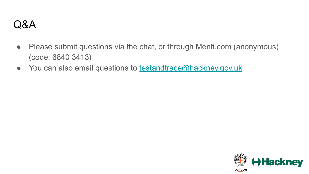#### Q&A

- Please submit questions via the chat, or through Menti.com (anonymous) (code: 6840 3413)
- You can also email questions to **[testandtrace@hackney.gov.uk](mailto:testandtrace@hackney.gov.uk)**